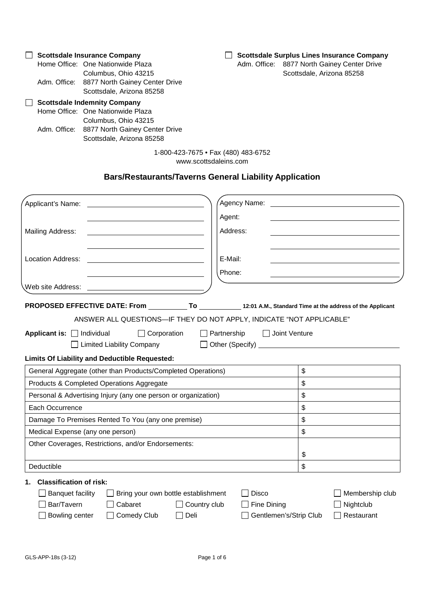**Scottsdale Insurance Company** Home Office: One Nationwide Plaza Columbus, Ohio 43215 Adm. Office: 8877 North Gainey Center Drive Scottsdale, Arizona 85258 **Scottsdale Indemnity Company** Home Office: One Nationwide Plaza Columbus, Ohio 43215 Adm. Office: 8877 North Gainey Center Drive Scottsdale, Arizona 85258 **Scottsdale Surplus Lines Insurance Company** Adm. Office: 8877 North Gainey Center Drive Scottsdale, Arizona 85258 1-800-423-7675 • Fax (480) 483-6752

www.scottsdaleins.com

# **Bars/Restaurants/Taverns General Liability Application**

| Applicant's Name:                                              |                                                                                                                      |
|----------------------------------------------------------------|----------------------------------------------------------------------------------------------------------------------|
|                                                                | Agent:                                                                                                               |
| Mailing Address:                                               | Address:                                                                                                             |
|                                                                |                                                                                                                      |
| Location Address:                                              | E-Mail:                                                                                                              |
|                                                                | Phone:                                                                                                               |
| Web site Address:                                              |                                                                                                                      |
|                                                                | PROPOSED EFFECTIVE DATE: From __________ To ______________ 12:01 A.M., Standard Time at the address of the Applicant |
|                                                                | ANSWER ALL QUESTIONS-IF THEY DO NOT APPLY, INDICATE "NOT APPLICABLE"                                                 |
| Applicant is: $\Box$ Individual<br>$\Box$ Corporation          | Partnership<br>Joint Venture                                                                                         |
| $\Box$ Limited Liability Company                               |                                                                                                                      |
| <b>Limits Of Liability and Deductible Requested:</b>           |                                                                                                                      |
| General Aggregate (other than Products/Completed Operations)   | \$                                                                                                                   |
| Products & Completed Operations Aggregate                      | \$                                                                                                                   |
| Personal & Advertising Injury (any one person or organization) | \$                                                                                                                   |
| Each Occurrence                                                | \$                                                                                                                   |
| Damage To Premises Rented To You (any one premise)             | \$                                                                                                                   |
| Medical Expense (any one person)                               | \$                                                                                                                   |
| Other Coverages, Restrictions, and/or Endorsements:            |                                                                                                                      |
|                                                                | \$                                                                                                                   |
| Deductible                                                     | \$                                                                                                                   |
| <b>Classification of risk:</b><br>1.                           |                                                                                                                      |
| <b>Banquet facility</b><br>Bring your own bottle establishment | <b>Disco</b><br>Membership club                                                                                      |
| Bar/Tavern<br>Cabaret                                          | $\Box$ Country club<br>Fine Dining<br>Nightclub                                                                      |
| Bowling center<br>Comedy Club<br>$\Box$ Deli                   | Gentlemen's/Strip Club<br>$\sqsupset$ Restaurant                                                                     |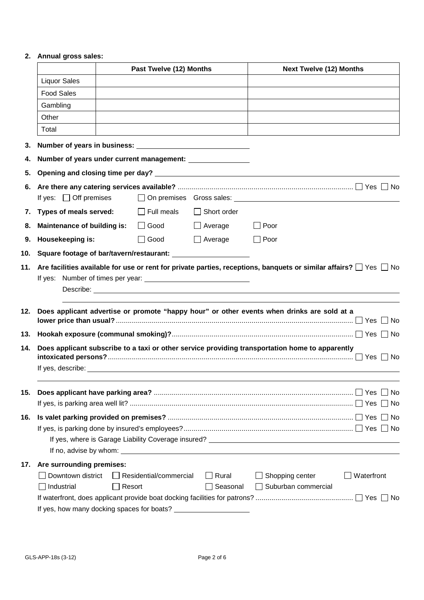# **2. Annual gross sales:**

|     |                                                                            | Past Twelve (12) Months |                                  | <b>Next Twelve (12) Months</b> |                                                                                                 |                                                                                 |
|-----|----------------------------------------------------------------------------|-------------------------|----------------------------------|--------------------------------|-------------------------------------------------------------------------------------------------|---------------------------------------------------------------------------------|
|     | <b>Liquor Sales</b>                                                        |                         |                                  |                                |                                                                                                 |                                                                                 |
|     | <b>Food Sales</b>                                                          |                         |                                  |                                |                                                                                                 |                                                                                 |
|     | Gambling                                                                   |                         |                                  |                                |                                                                                                 |                                                                                 |
|     | Other                                                                      |                         |                                  |                                |                                                                                                 |                                                                                 |
|     | Total                                                                      |                         |                                  |                                |                                                                                                 |                                                                                 |
| 3.  |                                                                            |                         |                                  |                                |                                                                                                 |                                                                                 |
| 4.  | Number of years under current management: ________________                 |                         |                                  |                                |                                                                                                 |                                                                                 |
| 5.  |                                                                            |                         |                                  |                                |                                                                                                 |                                                                                 |
|     |                                                                            |                         |                                  |                                |                                                                                                 |                                                                                 |
|     | If yes: $\Box$ Off premises                                                |                         |                                  |                                |                                                                                                 |                                                                                 |
|     | 7. Types of meals served:                                                  |                         | Full meals                       | $\Box$ Short order             |                                                                                                 |                                                                                 |
|     | 8. Maintenance of building is:                                             |                         | $\Box$ Good                      | $\Box$ Average                 | Poor                                                                                            |                                                                                 |
| 9.  | Housekeeping is:                                                           |                         | $\Box$ Good                      | $\Box$ Average                 | $\Box$ Poor                                                                                     |                                                                                 |
|     | 10. Square footage of bar/tavern/restaurant: _____________________________ |                         |                                  |                                |                                                                                                 |                                                                                 |
|     |                                                                            |                         |                                  |                                | 12. Does applicant advertise or promote "happy hour" or other events when drinks are sold at a  |                                                                                 |
|     |                                                                            |                         |                                  |                                |                                                                                                 | 13. Hookah exposure (communal smoking)?…………………………………………………………………………… □ Yes □ No |
| 14. |                                                                            |                         |                                  |                                | Does applicant subscribe to a taxi or other service providing transportation home to apparently |                                                                                 |
|     |                                                                            |                         |                                  |                                |                                                                                                 |                                                                                 |
|     |                                                                            |                         |                                  |                                |                                                                                                 |                                                                                 |
| 15. |                                                                            |                         |                                  |                                |                                                                                                 |                                                                                 |
|     |                                                                            |                         |                                  |                                |                                                                                                 |                                                                                 |
| 16. |                                                                            |                         |                                  |                                |                                                                                                 |                                                                                 |
|     |                                                                            |                         |                                  |                                |                                                                                                 |                                                                                 |
|     |                                                                            |                         |                                  |                                |                                                                                                 |                                                                                 |
| 17. | Are surrounding premises:                                                  |                         |                                  |                                |                                                                                                 |                                                                                 |
|     | Downtown district<br>Industrial                                            |                         | Residential/commercial<br>Resort | $\Box$ Rural<br>Seasonal       | $\Box$ Shopping center<br>Suburban commercial                                                   | Waterfront                                                                      |
|     |                                                                            |                         |                                  |                                |                                                                                                 |                                                                                 |
|     | If yes, how many docking spaces for boats?                                 |                         |                                  |                                |                                                                                                 |                                                                                 |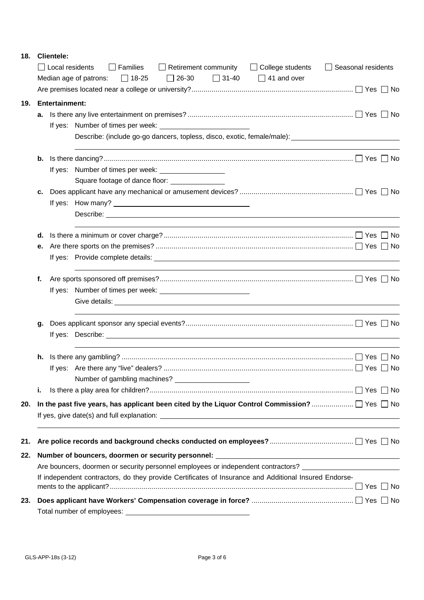## **18. Clientele:**

|     |    | $\Box$ Local residents | $\Box$ Families<br>$\Box$ Retirement community $\Box$ College students<br>$\Box$ 31-40 $\Box$ 41 and over<br>Median age of patrons: $\Box$ 18-25<br>$\Box$ 26-30 | Seasonal residents |  |
|-----|----|------------------------|------------------------------------------------------------------------------------------------------------------------------------------------------------------|--------------------|--|
|     |    |                        |                                                                                                                                                                  |                    |  |
|     |    |                        |                                                                                                                                                                  |                    |  |
| 19. |    | <b>Entertainment:</b>  |                                                                                                                                                                  |                    |  |
|     | а. |                        |                                                                                                                                                                  |                    |  |
|     |    |                        | Describe: (include go-go dancers, topless, disco, exotic, female/male):                                                                                          |                    |  |
|     | b. |                        |                                                                                                                                                                  |                    |  |
|     |    |                        | If yes: Number of times per week: ____________________                                                                                                           |                    |  |
|     |    |                        | Square footage of dance floor: _______________                                                                                                                   |                    |  |
|     | с. |                        |                                                                                                                                                                  |                    |  |
|     |    |                        |                                                                                                                                                                  |                    |  |
|     |    |                        |                                                                                                                                                                  |                    |  |
|     | d. |                        |                                                                                                                                                                  |                    |  |
|     | е. |                        |                                                                                                                                                                  |                    |  |
|     |    |                        |                                                                                                                                                                  |                    |  |
|     | f. |                        |                                                                                                                                                                  |                    |  |
|     |    |                        |                                                                                                                                                                  |                    |  |
|     |    |                        |                                                                                                                                                                  |                    |  |
|     | g. |                        |                                                                                                                                                                  |                    |  |
|     |    |                        |                                                                                                                                                                  |                    |  |
|     | h. |                        |                                                                                                                                                                  |                    |  |
|     |    |                        |                                                                                                                                                                  |                    |  |
|     |    |                        | Number of gambling machines?                                                                                                                                     |                    |  |
|     | i. |                        |                                                                                                                                                                  |                    |  |
| 20. |    |                        |                                                                                                                                                                  |                    |  |
|     |    |                        |                                                                                                                                                                  |                    |  |
| 21. |    |                        |                                                                                                                                                                  |                    |  |
| 22. |    |                        | Number of bouncers, doormen or security personnel: ______________________________                                                                                |                    |  |
|     |    |                        | Are bouncers, doormen or security personnel employees or independent contractors?                                                                                |                    |  |
|     |    |                        | If independent contractors, do they provide Certificates of Insurance and Additional Insured Endorse-                                                            |                    |  |
|     |    |                        |                                                                                                                                                                  |                    |  |
| 23. |    |                        |                                                                                                                                                                  |                    |  |
|     |    |                        |                                                                                                                                                                  |                    |  |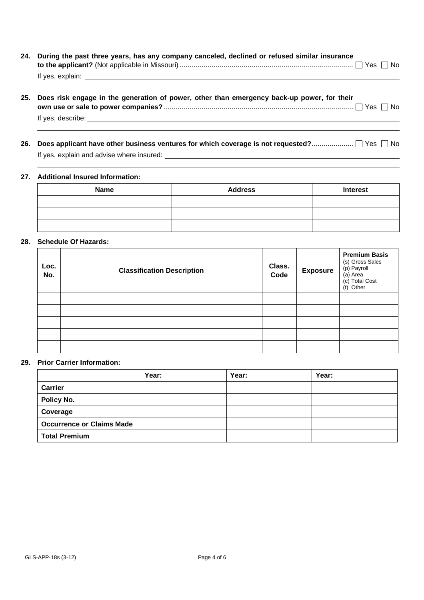| 24. During the past three years, has any company canceled, declined or refused similar insurance |  |
|--------------------------------------------------------------------------------------------------|--|
|                                                                                                  |  |
| If yes, explain:                                                                                 |  |

- **25. Does risk engage in the generation of power, other than emergency back-up power, for their own use or sale to power companies?** ............................................................................................... Yes No If yes, describe:
- 26. Does applicant have other business ventures for which coverage is not requested?............................. Yes No If yes, explain and advise where insured:

## **27. Additional Insured Information:**

| <b>Name</b> | <b>Address</b> | <b>Interest</b> |
|-------------|----------------|-----------------|
|             |                |                 |
|             |                |                 |
|             |                |                 |

### **28. Schedule Of Hazards:**

| Loc.<br>No. | <b>Classification Description</b> | Class.<br>Code | <b>Exposure</b> | <b>Premium Basis</b><br>(s) Gross Sales<br>(p) Payroll<br>(a) Area<br>(c) Total Cost<br>(t) Other |
|-------------|-----------------------------------|----------------|-----------------|---------------------------------------------------------------------------------------------------|
|             |                                   |                |                 |                                                                                                   |
|             |                                   |                |                 |                                                                                                   |
|             |                                   |                |                 |                                                                                                   |
|             |                                   |                |                 |                                                                                                   |
|             |                                   |                |                 |                                                                                                   |

#### **29. Prior Carrier Information:**

|                                  | Year: | Year: | Year: |
|----------------------------------|-------|-------|-------|
| <b>Carrier</b>                   |       |       |       |
| Policy No.                       |       |       |       |
| Coverage                         |       |       |       |
| <b>Occurrence or Claims Made</b> |       |       |       |
| <b>Total Premium</b>             |       |       |       |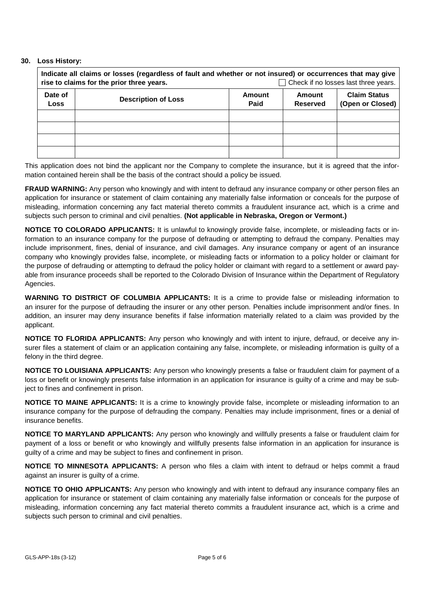#### **30. Loss History:**

| Indicate all claims or losses (regardless of fault and whether or not insured) or occurrences that may give<br>$\Box$ Check if no losses last three years.<br>rise to claims for the prior three years. |                            |                       |                           |                                         |  |
|---------------------------------------------------------------------------------------------------------------------------------------------------------------------------------------------------------|----------------------------|-----------------------|---------------------------|-----------------------------------------|--|
| Date of<br>Loss                                                                                                                                                                                         | <b>Description of Loss</b> | <b>Amount</b><br>Paid | Amount<br><b>Reserved</b> | <b>Claim Status</b><br>(Open or Closed) |  |
|                                                                                                                                                                                                         |                            |                       |                           |                                         |  |
|                                                                                                                                                                                                         |                            |                       |                           |                                         |  |
|                                                                                                                                                                                                         |                            |                       |                           |                                         |  |
|                                                                                                                                                                                                         |                            |                       |                           |                                         |  |

This application does not bind the applicant nor the Company to complete the insurance, but it is agreed that the information contained herein shall be the basis of the contract should a policy be issued.

**FRAUD WARNING:** Any person who knowingly and with intent to defraud any insurance company or other person files an application for insurance or statement of claim containing any materially false information or conceals for the purpose of misleading, information concerning any fact material thereto commits a fraudulent insurance act, which is a crime and subjects such person to criminal and civil penalties. **(Not applicable in Nebraska, Oregon or Vermont.)**

**NOTICE TO COLORADO APPLICANTS:** It is unlawful to knowingly provide false, incomplete, or misleading facts or information to an insurance company for the purpose of defrauding or attempting to defraud the company. Penalties may include imprisonment, fines, denial of insurance, and civil damages. Any insurance company or agent of an insurance company who knowingly provides false, incomplete, or misleading facts or information to a policy holder or claimant for the purpose of defrauding or attempting to defraud the policy holder or claimant with regard to a settlement or award payable from insurance proceeds shall be reported to the Colorado Division of Insurance within the Department of Regulatory Agencies.

**WARNING TO DISTRICT OF COLUMBIA APPLICANTS:** It is a crime to provide false or misleading information to an insurer for the purpose of defrauding the insurer or any other person. Penalties include imprisonment and/or fines. In addition, an insurer may deny insurance benefits if false information materially related to a claim was provided by the applicant.

**NOTICE TO FLORIDA APPLICANTS:** Any person who knowingly and with intent to injure, defraud, or deceive any insurer files a statement of claim or an application containing any false, incomplete, or misleading information is guilty of a felony in the third degree.

**NOTICE TO LOUISIANA APPLICANTS:** Any person who knowingly presents a false or fraudulent claim for payment of a loss or benefit or knowingly presents false information in an application for insurance is guilty of a crime and may be subject to fines and confinement in prison.

**NOTICE TO MAINE APPLICANTS:** It is a crime to knowingly provide false, incomplete or misleading information to an insurance company for the purpose of defrauding the company. Penalties may include imprisonment, fines or a denial of insurance benefits.

**NOTICE TO MARYLAND APPLICANTS:** Any person who knowingly and willfully presents a false or fraudulent claim for payment of a loss or benefit or who knowingly and willfully presents false information in an application for insurance is guilty of a crime and may be subject to fines and confinement in prison.

**NOTICE TO MINNESOTA APPLICANTS:** A person who files a claim with intent to defraud or helps commit a fraud against an insurer is guilty of a crime.

**NOTICE TO OHIO APPLICANTS:** Any person who knowingly and with intent to defraud any insurance company files an application for insurance or statement of claim containing any materially false information or conceals for the purpose of misleading, information concerning any fact material thereto commits a fraudulent insurance act, which is a crime and subjects such person to criminal and civil penalties.